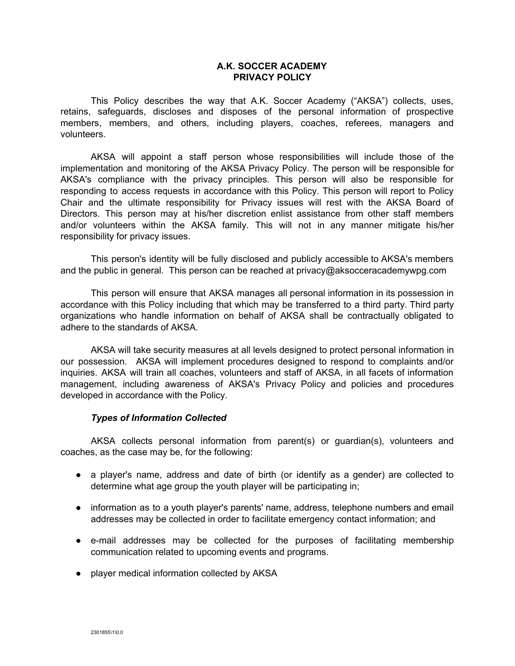# **A.K. SOCCER ACADEMY PRIVACY POLICY**

This Policy describes the way that A.K. Soccer Academy ("AKSA") collects, uses, retains, safeguards, discloses and disposes of the personal information of prospective members, members, and others, including players, coaches, referees, managers and volunteers.

AKSA will appoint a staff person whose responsibilities will include those of the implementation and monitoring of the AKSA Privacy Policy. The person will be responsible for AKSA's compliance with the privacy principles. This person will also be responsible for responding to access requests in accordance with this Policy. This person will report to Policy Chair and the ultimate responsibility for Privacy issues will rest with the AKSA Board of Directors. This person may at his/her discretion enlist assistance from other staff members and/or volunteers within the AKSA family. This will not in any manner mitigate his/her responsibility for privacy issues.

This person's identity will be fully disclosed and publicly accessible to AKSA's members and the public in general. This person can be reached at privacy@aksocceracademywpg.com

This person will ensure that AKSA manages all personal information in its possession in accordance with this Policy including that which may be transferred to a third party. Third party organizations who handle information on behalf of AKSA shall be contractually obligated to adhere to the standards of AKSA.

AKSA will take security measures at all levels designed to protect personal information in our possession. AKSA will implement procedures designed to respond to complaints and/or inquiries. AKSA will train all coaches, volunteers and staff of AKSA, in all facets of information management, including awareness of AKSA's Privacy Policy and policies and procedures developed in accordance with the Policy.

### *Types of Information Collected*

AKSA collects personal information from parent(s) or guardian(s), volunteers and coaches, as the case may be, for the following:

- a player's name, address and date of birth (or identify as a gender) are collected to determine what age group the youth player will be participating in;
- information as to a youth player's parents' name, address, telephone numbers and email addresses may be collected in order to facilitate emergency contact information; and
- e-mail addresses may be collected for the purposes of facilitating membership communication related to upcoming events and programs.
- player medical information collected by AKSA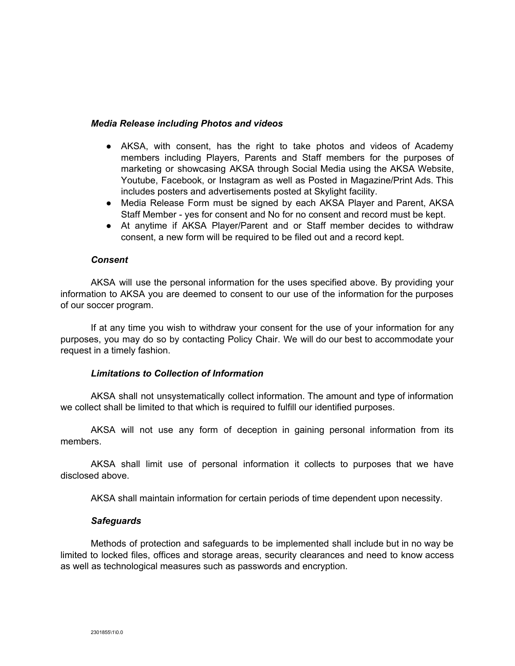### *Media Release including Photos and videos*

- AKSA, with consent, has the right to take photos and videos of Academy members including Players, Parents and Staff members for the purposes of marketing or showcasing AKSA through Social Media using the AKSA Website, Youtube, Facebook, or Instagram as well as Posted in Magazine/Print Ads. This includes posters and advertisements posted at Skylight facility.
- Media Release Form must be signed by each AKSA Player and Parent, AKSA Staff Member - yes for consent and No for no consent and record must be kept.
- At anytime if AKSA Player/Parent and or Staff member decides to withdraw consent, a new form will be required to be filed out and a record kept.

#### *Consent*

AKSA will use the personal information for the uses specified above. By providing your information to AKSA you are deemed to consent to our use of the information for the purposes of our soccer program.

If at any time you wish to withdraw your consent for the use of your information for any purposes, you may do so by contacting Policy Chair. We will do our best to accommodate your request in a timely fashion.

### *Limitations to Collection of Information*

AKSA shall not unsystematically collect information. The amount and type of information we collect shall be limited to that which is required to fulfill our identified purposes.

AKSA will not use any form of deception in gaining personal information from its members.

AKSA shall limit use of personal information it collects to purposes that we have disclosed above.

AKSA shall maintain information for certain periods of time dependent upon necessity.

#### *Safeguards*

Methods of protection and safeguards to be implemented shall include but in no way be limited to locked files, offices and storage areas, security clearances and need to know access as well as technological measures such as passwords and encryption.